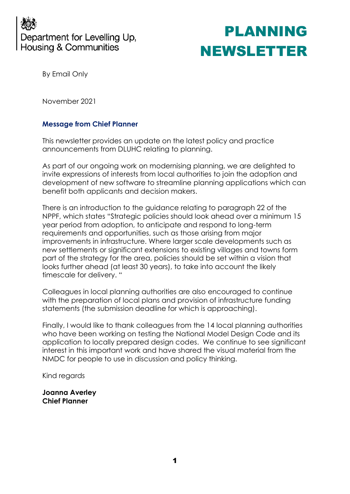

By Email Only

November 2021

### **Message from Chief Planner**

This newsletter provides an update on the latest policy and practice announcements from DLUHC relating to planning.

As part of our ongoing work on modernising planning, we are delighted to invite expressions of interests from local authorities to join the adoption and development of new software to streamline planning applications which can benefit both applicants and decision makers.

There is an introduction to the guidance relating to paragraph 22 of the NPPF, which states "Strategic policies should look ahead over a minimum 15 year period from adoption, to anticipate and respond to long-term requirements and opportunities, such as those arising from major improvements in infrastructure. Where larger scale developments such as new settlements or significant extensions to existing villages and towns form part of the strategy for the area, policies should be set within a vision that looks further ahead (at least 30 years), to take into account the likely timescale for delivery. "

Colleagues in local planning authorities are also encouraged to continue with the preparation of local plans and provision of infrastructure funding statements (the submission deadline for which is approaching).

Finally, I would like to thank colleagues from the 14 local planning authorities who have been working on testing the National Model Design Code and its application to locally prepared design codes. We continue to see significant interest in this important work and have shared the visual material from the NMDC for people to use in discussion and policy thinking.

Kind regards

**Joanna Averley Chief Planner**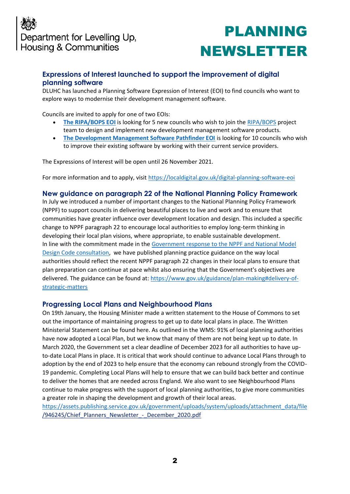### **Expressions of Interest launched to support the improvement of digital planning software**

DLUHC has launched a Planning Software Expression of Interest (EOI) to find councils who want to explore ways to modernise their development management software.

Councils are invited to apply for one of two EOIs:

- [The RIPA/BOPS EOI](https://gbr01.safelinks.protection.outlook.com/?url=https%3A%2F%2Flocaldigital.gov.uk%2Fripa-bops-eoi&data=04%7C01%7CPSPlanningDirectors%40communities.gov.uk%7C116c2f80c18e4fcd647b08d9a2b6d11b%7Cbf3468109c7d43dea87224a2ef3995a8%7C0%7C0%7C637719728336655919%7CUnknown%7CTWFpbGZsb3d8eyJWIjoiMC4wLjAwMDAiLCJQIjoiV2luMzIiLCJBTiI6Ik1haWwiLCJXVCI6Mn0%3D%7C1000&sdata=cu8i5vXCpkGVA4HwI7LL0rV6FrMIA0U7qRVf2qg0OVA%3D&reserved=0) is looking for 5 new councils who wish to join th[e RIPA/BOPS](https://gbr01.safelinks.protection.outlook.com/?url=https%3A%2F%2Fdluhcdigital.blog.gov.uk%2F2021%2F06%2F30%2Fmhclg-launch-two-beta-planning-products%2F&data=04%7C01%7CPSPlanningDirectors%40communities.gov.uk%7C116c2f80c18e4fcd647b08d9a2b6d11b%7Cbf3468109c7d43dea87224a2ef3995a8%7C0%7C0%7C637719728336665872%7CUnknown%7CTWFpbGZsb3d8eyJWIjoiMC4wLjAwMDAiLCJQIjoiV2luMzIiLCJBTiI6Ik1haWwiLCJXVCI6Mn0%3D%7C1000&sdata=ck8fSzBvYr%2Bc070l6OehsiXNfgQcS9DS6J%2BWWhxa3EU%3D&reserved=0) project team to design and implement new development management software products.
- **[The Development Management Software Pathfinder EOI](https://gbr01.safelinks.protection.outlook.com/?url=https%3A%2F%2Flocaldigital.gov.uk%2Fdevelopment-management-software-eoi&data=04%7C01%7CPSPlanningDirectors%40communities.gov.uk%7C116c2f80c18e4fcd647b08d9a2b6d11b%7Cbf3468109c7d43dea87224a2ef3995a8%7C0%7C0%7C637719728336665872%7CUnknown%7CTWFpbGZsb3d8eyJWIjoiMC4wLjAwMDAiLCJQIjoiV2luMzIiLCJBTiI6Ik1haWwiLCJXVCI6Mn0%3D%7C1000&sdata=1rRTawnPl%2BVvmb9mYUCA07a7m2OCpCKt2235OlajmTs%3D&reserved=0)** is looking for 10 councils who wish to improve their existing software by working with their current service providers.

The Expressions of Interest will be open until 26 November 2021.

For more information and to apply, visit [https://localdigital.gov.uk/digital-planning-software-eoi](https://gbr01.safelinks.protection.outlook.com/?url=https%3A%2F%2Flocaldigital.gov.uk%2Fdigital-planning-software-eoi&data=04%7C01%7CPSPlanningDirectors%40communities.gov.uk%7C116c2f80c18e4fcd647b08d9a2b6d11b%7Cbf3468109c7d43dea87224a2ef3995a8%7C0%7C0%7C637719728336675825%7CUnknown%7CTWFpbGZsb3d8eyJWIjoiMC4wLjAwMDAiLCJQIjoiV2luMzIiLCJBTiI6Ik1haWwiLCJXVCI6Mn0%3D%7C1000&sdata=KjvegaKxCntgBOUCx9l%2FpPbCM2615f3AuhyOT2zqs6I%3D&reserved=0)

#### **New guidance on paragraph 22 of the National Planning Policy Framework**

In July we introduced a number of important changes to the National Planning Policy Framework (NPPF) to support councils in delivering beautiful places to live and work and to ensure that communities have greater influence over development location and design. This included a specific change to NPPF paragraph 22 to encourage local authorities to employ long-term thinking in developing their local plan visions, where appropriate, to enable sustainable development. In line with the commitment made in the [Government response to the NPPF and National Model](https://www.gov.uk/government/consultations/national-planning-policy-framework-and-national-model-design-code-consultation-proposals/outcome/government-response-to-the-national-planning-policy-framework-and-national-model-design-code-consultation-proposals)  [Design Code consultation,](https://www.gov.uk/government/consultations/national-planning-policy-framework-and-national-model-design-code-consultation-proposals/outcome/government-response-to-the-national-planning-policy-framework-and-national-model-design-code-consultation-proposals) we have published planning practice guidance on the way local authorities should reflect the recent NPPF paragraph 22 changes in their local plans to ensure that plan preparation can continue at pace whilst also ensuring that the Government's objectives are delivered. The guidance can be found at: [https://www.gov.uk/guidance/plan-making#delivery-of](https://www.gov.uk/guidance/plan-making#delivery-of-strategic-matters)[strategic-matters](https://www.gov.uk/guidance/plan-making#delivery-of-strategic-matters) 

#### **Progressing Local Plans and Neighbourhood Plans**

On 19th January, the Housing Minister made a written statement to the House of Commons to set out the importance of maintaining progress to get up to date local plans in place. The Written Ministerial Statement can be found here. As outlined in the WMS: 91% of local planning authorities have now adopted a Local Plan, but we know that many of them are not being kept up to date. In March 2020, the Government set a clear deadline of December 2023 for all authorities to have upto-date Local Plans in place. It is critical that work should continue to advance Local Plans through to adoption by the end of 2023 to help ensure that the economy can rebound strongly from the COVID-19 pandemic. Completing Local Plans will help to ensure that we can build back better and continue to deliver the homes that are needed across England. We also want to see Neighbourhood Plans continue to make progress with the support of local planning authorities, to give more communities a greater role in shaping the development and growth of their local areas.

[https://assets.publishing.service.gov.uk/government/uploads/system/uploads/attachment\\_data/file](https://assets.publishing.service.gov.uk/government/uploads/system/uploads/attachment_data/file/946245/Chief_Planners_Newsletter_-_December_2020.pdf) /946245/Chief\_Planners\_Newsletter - December\_2020.pdf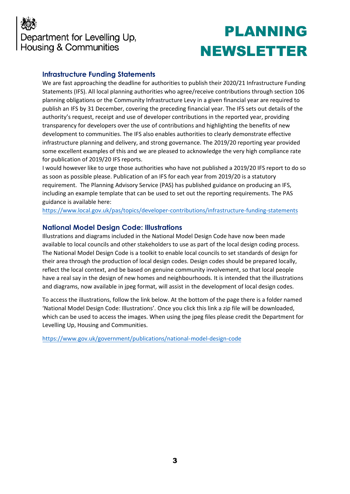

### **Infrastructure Funding Statements**

We are fast approaching the deadline for authorities to publish their 2020/21 Infrastructure Funding Statements (IFS). All local planning authorities who agree/receive contributions through section 106 planning obligations or the Community Infrastructure Levy in a given financial year are required to publish an IFS by 31 December, covering the preceding financial year. The IFS sets out details of the authority's request, receipt and use of developer contributions in the reported year, providing transparency for developers over the use of contributions and highlighting the benefits of new development to communities. The IFS also enables authorities to clearly demonstrate effective infrastructure planning and delivery, and strong governance. The 2019/20 reporting year provided some excellent examples of this and we are pleased to acknowledge the very high compliance rate for publication of 2019/20 IFS reports.

I would however like to urge those authorities who have not published a 2019/20 IFS report to do so as soon as possible please. Publication of an IFS for each year from 2019/20 is a statutory requirement. The Planning Advisory Service (PAS) has published guidance on producing an IFS, including an example template that can be used to set out the reporting requirements. The PAS guidance is available here:

[https://www.local.gov.uk/pas/topics/developer-contributions/infrastructure-funding-statements](https://gbr01.safelinks.protection.outlook.com/?url=https%3A%2F%2Fwww.local.gov.uk%2Fpas%2Ftopics%2Fdeveloper-contributions%2Finfrastructure-funding-statements&data=04%7C01%7CPSPlanningDirectors%40communities.gov.uk%7Cdd24035e07ca4c67cb1f08d99483c70f%7Cbf3468109c7d43dea87224a2ef3995a8%7C0%7C0%7C637704115954850303%7CUnknown%7CTWFpbGZsb3d8eyJWIjoiMC4wLjAwMDAiLCJQIjoiV2luMzIiLCJBTiI6Ik1haWwiLCJXVCI6Mn0%3D%7C1000&sdata=ZRykQtJiIlWK3zfI%2FLz%2FjCKM3Gk%2F8W0U9hyYM6pQxjo%3D&reserved=0)

#### **National Model Design Code: Illustrations**

Illustrations and diagrams included in the National Model Design Code have now been made available to local councils and other stakeholders to use as part of the local design coding process. The National Model Design Code is a toolkit to enable local councils to set standards of design for their area through the production of local design codes. Design codes should be prepared locally, reflect the local context, and be based on genuine community involvement, so that local people have a real say in the design of new homes and neighbourhoods. It is intended that the illustrations and diagrams, now available in jpeg format, will assist in the development of local design codes.

To access the illustrations, follow the link below. At the bottom of the page there is a folder named 'National Model Design Code: Illustrations'. Once you click this link a zip file will be downloaded, which can be used to access the images. When using the jpeg files please credit the Department for Levelling Up, Housing and Communities.

[https://www.gov.uk/government/publications/national-model-design-code](https://gbr01.safelinks.protection.outlook.com/?url=https%3A%2F%2Fwww.gov.uk%2Fgovernment%2Fpublications%2Fnational-model-design-code&data=04%7C01%7CPSPlanningDirectors%40communities.gov.uk%7Cb9047cc200aa40e5c50808d994802d80%7Cbf3468109c7d43dea87224a2ef3995a8%7C0%7C0%7C637704100494097891%7CUnknown%7CTWFpbGZsb3d8eyJWIjoiMC4wLjAwMDAiLCJQIjoiV2luMzIiLCJBTiI6Ik1haWwiLCJXVCI6Mn0%3D%7C1000&sdata=KjEldc5VTtzUoJAo1cMXL8hfy%2BFEfajb%2BSGclXh9nlc%3D&reserved=0)